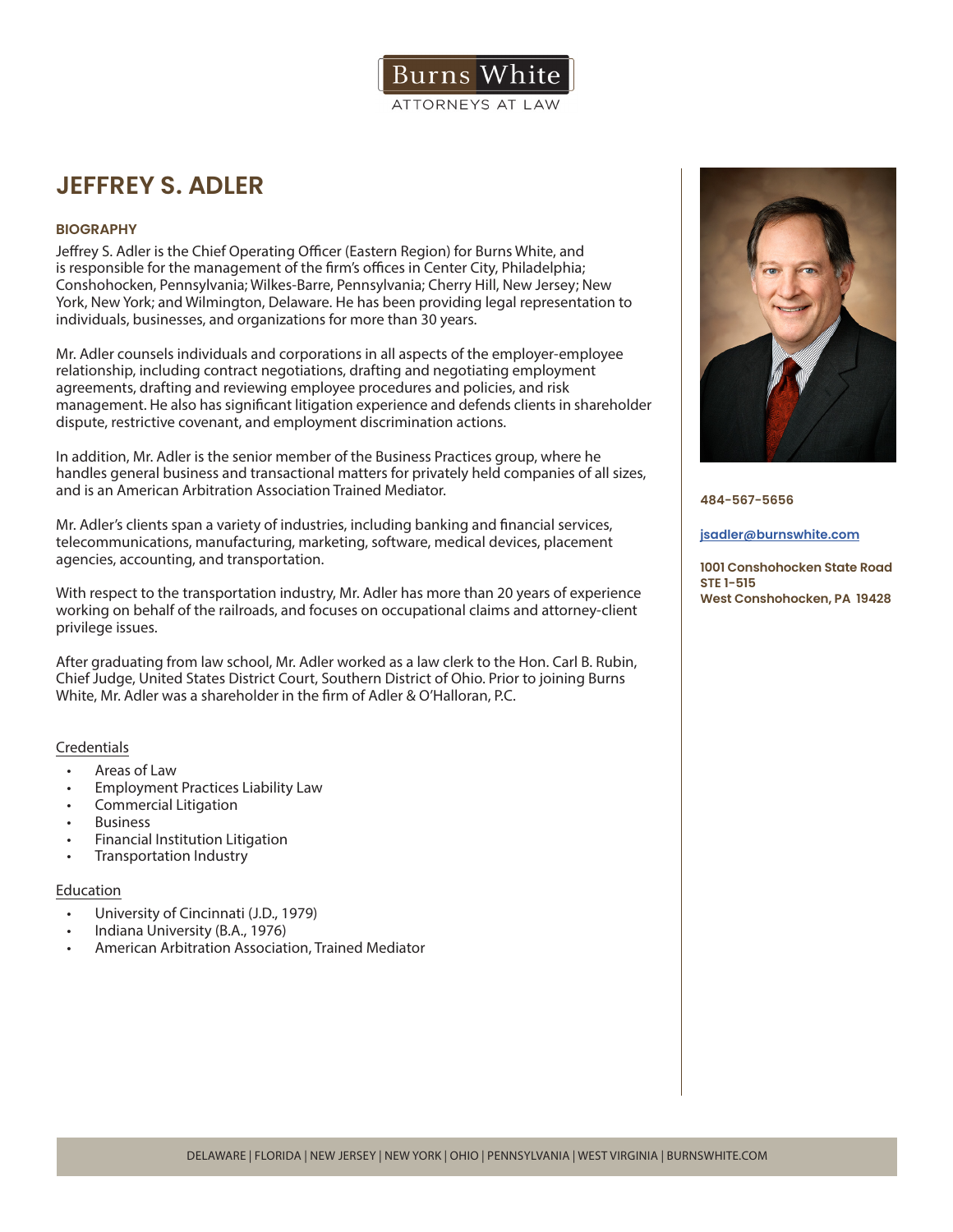

# **JEFFREY S. ADLER**

# **BIOGRAPHY**

Jeffrey S. Adler is the Chief Operating Officer (Eastern Region) for Burns White, and is responsible for the management of the firm's offices in Center City, Philadelphia; Conshohocken, Pennsylvania; Wilkes-Barre, Pennsylvania; Cherry Hill, New Jersey; New York, New York; and Wilmington, Delaware. He has been providing legal representation to individuals, businesses, and organizations for more than 30 years.

Mr. Adler counsels individuals and corporations in all aspects of the employer-employee relationship, including contract negotiations, drafting and negotiating employment agreements, drafting and reviewing employee procedures and policies, and risk management. He also has significant litigation experience and defends clients in shareholder dispute, restrictive covenant, and employment discrimination actions.

In addition, Mr. Adler is the senior member of the Business Practices group, where he handles general business and transactional matters for privately held companies of all sizes, and is an American Arbitration Association Trained Mediator.

Mr. Adler's clients span a variety of industries, including banking and financial services, telecommunications, manufacturing, marketing, software, medical devices, placement agencies, accounting, and transportation.

With respect to the transportation industry, Mr. Adler has more than 20 years of experience working on behalf of the railroads, and focuses on occupational claims and attorney-client privilege issues.

After graduating from law school, Mr. Adler worked as a law clerk to the Hon. Carl B. Rubin, Chief Judge, United States District Court, Southern District of Ohio. Prior to joining Burns White, Mr. Adler was a shareholder in the firm of Adler & O'Halloran, P.C.

# Credentials

- Areas of Law
- Employment Practices Liability Law
- Commercial Litigation
- **Business**
- Financial Institution Litigation
- Transportation Industry

# Education

- University of Cincinnati (J.D., 1979)
- Indiana University (B.A., 1976)
- American Arbitration Association, Trained Mediator



**484-567-5656**

#### **jsadler@burnswhite.com**

**1001 Conshohocken State Road STE 1-515 West Conshohocken, PA 19428**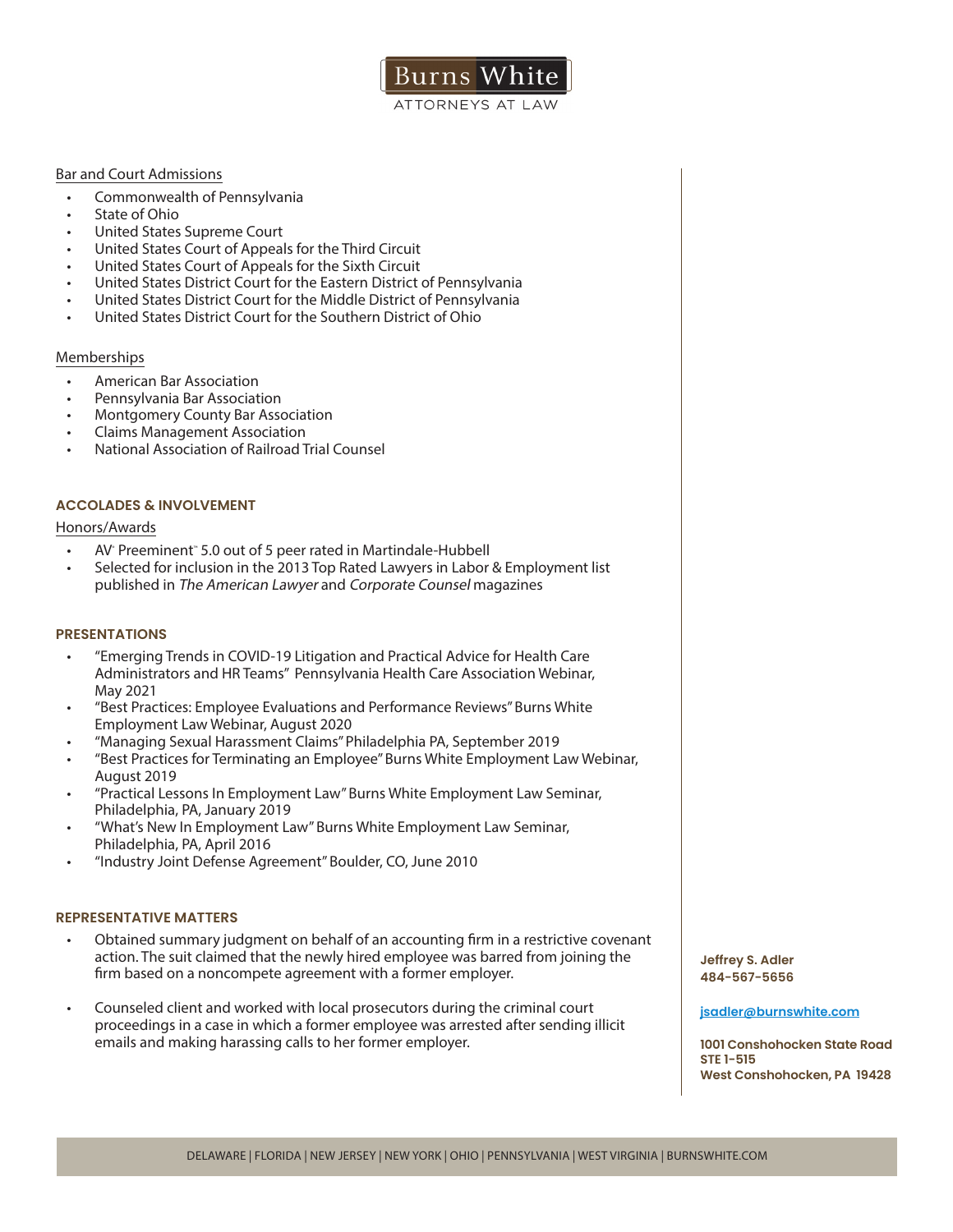

## Bar and Court Admissions

- Commonwealth of Pennsylvania
- State of Ohio
- United States Supreme Court
- United States Court of Appeals for the Third Circuit
- United States Court of Appeals for the Sixth Circuit
- United States District Court for the Eastern District of Pennsylvania
- United States District Court for the Middle District of Pennsylvania
- United States District Court for the Southern District of Ohio

# Memberships

- American Bar Association
- Pennsylvania Bar Association
- Montgomery County Bar Association
- Claims Management Association
- National Association of Railroad Trial Counsel

# **ACCOLADES & INVOLVEMENT**

## Honors/Awards

- AV Preeminent" 5.0 out of 5 peer rated in Martindale-Hubbell
- Selected for inclusion in the 2013 Top Rated Lawyers in Labor & Employment list published in The American Lawyer and Corporate Counsel magazines

## **PRESENTATIONS**

- "Emerging Trends in COVID-19 Litigation and Practical Advice for Health Care Administrators and HR Teams" Pennsylvania Health Care Association Webinar, May 2021
- "Best Practices: Employee Evaluations and Performance Reviews" Burns White Employment Law Webinar, August 2020
- "Managing Sexual Harassment Claims" Philadelphia PA, September 2019
- "Best Practices for Terminating an Employee" Burns White Employment Law Webinar, August 2019
- "Practical Lessons In Employment Law" Burns White Employment Law Seminar, Philadelphia, PA, January 2019
- "What's New In Employment Law" Burns White Employment Law Seminar, Philadelphia, PA, April 2016
- "Industry Joint Defense Agreement" Boulder, CO, June 2010

## **REPRESENTATIVE MATTERS**

- Obtained summary judgment on behalf of an accounting firm in a restrictive covenant action. The suit claimed that the newly hired employee was barred from joining the firm based on a noncompete agreement with a former employer.
- Counseled client and worked with local prosecutors during the criminal court proceedings in a case in which a former employee was arrested after sending illicit emails and making harassing calls to her former employer.

**Jeffrey S. Adler 484-567-5656**

#### **jsadler@burnswhite.com**

**1001 Conshohocken State Road STE 1-515 West Conshohocken, PA 19428**